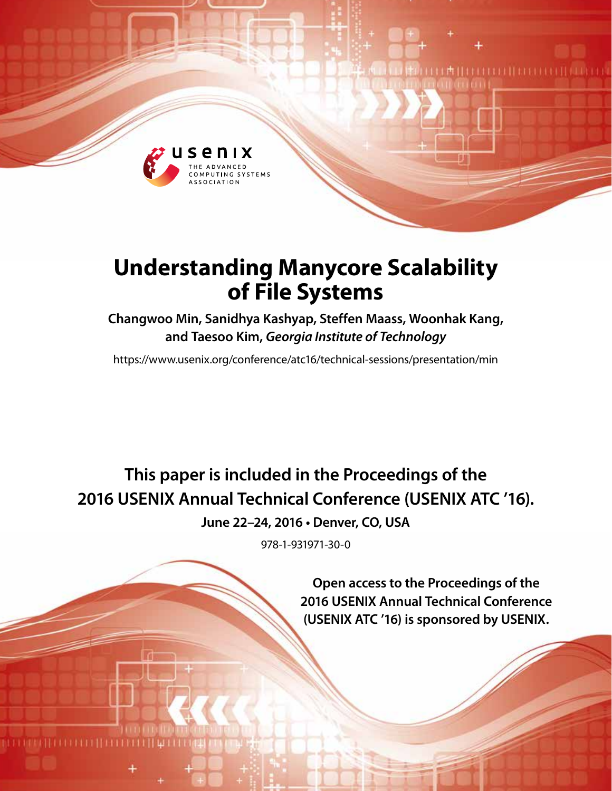

# **Understanding Manycore Scalability of File Systems**

# **Changwoo Min, Sanidhya Kashyap, Steffen Maass, Woonhak Kang, and Taesoo Kim,** *Georgia Institute of Technology*

https://www.usenix.org/conference/atc16/technical-sessions/presentation/min

**This paper is included in the Proceedings of the 2016 USENIX Annual Technical Conference (USENIX ATC '16).**

**June 22–24, 2016 • Denver, CO, USA**

978-1-931971-30-0

**Open access to the Proceedings of the 2016 USENIX Annual Technical Conference (USENIX ATC '16) is sponsored by USENIX.**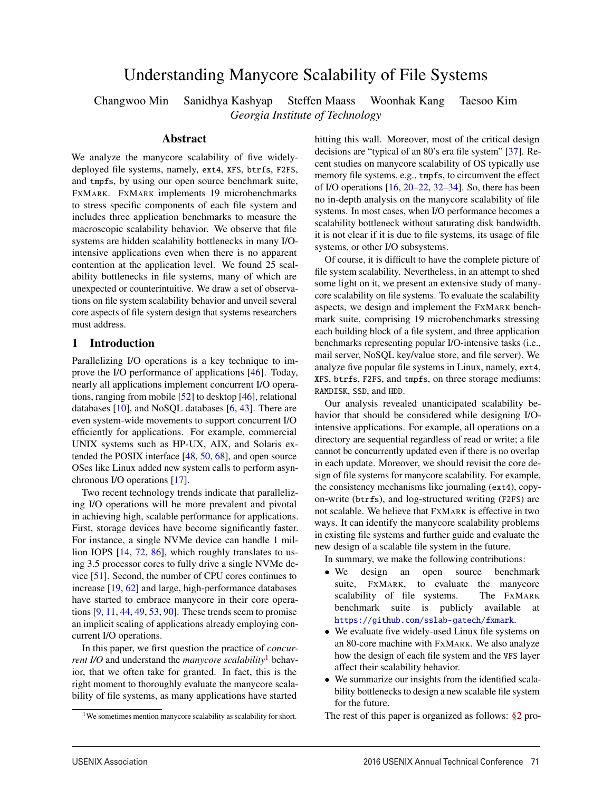# Understanding Manycore Scalability of File Systems

Changwoo Min Sanidhya Kashyap Steffen Maass Woonhak Kang Taesoo Kim

*Georgia Institute of Technology*

## Abstract

We analyze the manycore scalability of five widelydeployed file systems, namely, ext4, XFS, btrfs, F2FS, and tmpfs, by using our open source benchmark suite, FXMARK. FXMARK implements 19 microbenchmarks to stress specific components of each file system and includes three application benchmarks to measure the macroscopic scalability behavior. We observe that file systems are hidden scalability bottlenecks in many I/Ointensive applications even when there is no apparent contention at the application level. We found 25 scalability bottlenecks in file systems, many of which are unexpected or counterintuitive. We draw a set of observations on file system scalability behavior and unveil several core aspects of file system design that systems researchers must address.

# 1 Introduction

Parallelizing I/O operations is a key technique to improve the I/O performance of applications [46]. Today, nearly all applications implement concurrent I/O operations, ranging from mobile [52] to desktop [46], relational databases [10], and NoSQL databases [6, 43]. There are even system-wide movements to support concurrent I/O efficiently for applications. For example, commercial UNIX systems such as HP-UX, AIX, and Solaris extended the POSIX interface [48, 50, 68], and open source OSes like Linux added new system calls to perform asynchronous I/O operations [17].

Two recent technology trends indicate that parallelizing I/O operations will be more prevalent and pivotal in achieving high, scalable performance for applications. First, storage devices have become significantly faster. For instance, a single NVMe device can handle 1 million IOPS [14, 72, 86], which roughly translates to using 3.5 processor cores to fully drive a single NVMe device [51]. Second, the number of CPU cores continues to increase [19, 62] and large, high-performance databases have started to embrace manycore in their core operations [9, 11, 44, 49, 53, 90]. These trends seem to promise an implicit scaling of applications already employing concurrent I/O operations.

In this paper, we first question the practice of *concurrent I/O* and understand the *manycore scalability*<sup>1</sup> behavior, that we often take for granted. In fact, this is the right moment to thoroughly evaluate the manycore scalability of file systems, as many applications have started

1

hitting this wall. Moreover, most of the critical design decisions are "typical of an 80's era file system" [37]. Recent studies on manycore scalability of OS typically use memory file systems, e.g., tmpfs, to circumvent the effect of I/O operations [16, 20–22, 32–34]. So, there has been no in-depth analysis on the manycore scalability of file systems. In most cases, when I/O performance becomes a scalability bottleneck without saturating disk bandwidth, it is not clear if it is due to file systems, its usage of file systems, or other I/O subsystems.

Of course, it is difficult to have the complete picture of file system scalability. Nevertheless, in an attempt to shed some light on it, we present an extensive study of manycore scalability on file systems. To evaluate the scalability aspects, we design and implement the FXMARK benchmark suite, comprising 19 microbenchmarks stressing each building block of a file system, and three application benchmarks representing popular I/O-intensive tasks (i.e., mail server, NoSQL key/value store, and file server). We analyze five popular file systems in Linux, namely, ext4, XFS, btrfs, F2FS, and tmpfs, on three storage mediums: RAMDISK, SSD, and HDD.

Our analysis revealed unanticipated scalability behavior that should be considered while designing I/Ointensive applications. For example, all operations on a directory are sequential regardless of read or write; a file cannot be concurrently updated even if there is no overlap in each update. Moreover, we should revisit the core design of file systems for manycore scalability. For example, the consistency mechanisms like journaling (ext4), copyon-write (btrfs), and log-structured writing (F2FS) are not scalable. We believe that FXMARK is effective in two ways. It can identify the manycore scalability problems in existing file systems and further guide and evaluate the new design of a scalable file system in the future.

In summary, we make the following contributions:

- We design an open source benchmark suite, FXMARK, to evaluate the manycore scalability of file systems. The FXMARK benchmark suite is publicly available at https://github.com/sslab-gatech/fxmark.
- We evaluate five widely-used Linux file systems on an 80-core machine with FXMARK. We also analyze how the design of each file system and the VFS layer affect their scalability behavior.
- We summarize our insights from the identified scalability bottlenecks to design a new scalable file system for the future.

The rest of this paper is organized as follows: §2 pro-

<sup>&</sup>lt;sup>1</sup>We sometimes mention manycore scalability as scalability for short.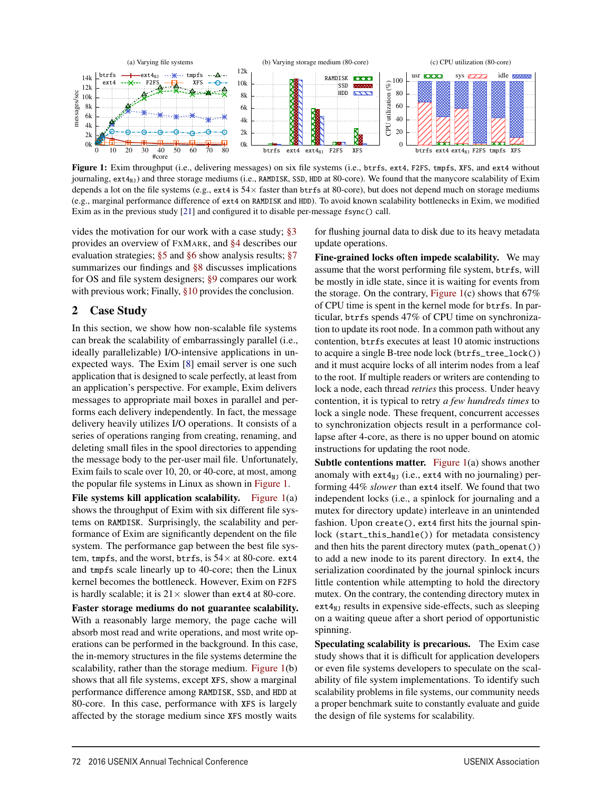

Figure 1: Exim throughput (i.e., delivering messages) on six file systems (i.e., btrfs, ext4, F2FS, tmpfs, XFS, and ext4 without journaling,  $ext{4}_{N1}$ ) and three storage mediums (i.e., RAMDISK, SSD, HDD at 80-core). We found that the manycore scalability of Exim depends a lot on the file systems (e.g., ext4 is  $54\times$  faster than btrfs at 80-core), but does not depend much on storage mediums (e.g., marginal performance difference of ext4 on RAMDISK and HDD). To avoid known scalability bottlenecks in Exim, we modified Exim as in the previous study [21] and configured it to disable per-message fsync() call.

2

vides the motivation for our work with a case study; §3 provides an overview of FXMARK, and §4 describes our evaluation strategies; §5 and §6 show analysis results; §7 summarizes our findings and §8 discusses implications for OS and file system designers; §9 compares our work with previous work; Finally, §10 provides the conclusion.

# 2 Case Study

In this section, we show how non-scalable file systems can break the scalability of embarrassingly parallel (i.e., ideally parallelizable) I/O-intensive applications in unexpected ways. The Exim [8] email server is one such application that is designed to scale perfectly, at least from an application's perspective. For example, Exim delivers messages to appropriate mail boxes in parallel and performs each delivery independently. In fact, the message delivery heavily utilizes I/O operations. It consists of a series of operations ranging from creating, renaming, and deleting small files in the spool directories to appending the message body to the per-user mail file. Unfortunately, Exim fails to scale over 10, 20, or 40-core, at most, among the popular file systems in Linux as shown in Figure 1.

File systems kill application scalability. Figure 1(a) shows the throughput of Exim with six different file systems on RAMDISK. Surprisingly, the scalability and performance of Exim are significantly dependent on the file system. The performance gap between the best file system, tmpfs, and the worst, btrfs, is  $54 \times$  at 80-core. ext4 and tmpfs scale linearly up to 40-core; then the Linux kernel becomes the bottleneck. However, Exim on F2FS is hardly scalable; it is  $21 \times$  slower than ext4 at 80-core.

Faster storage mediums do not guarantee scalability. With a reasonably large memory, the page cache will absorb most read and write operations, and most write operations can be performed in the background. In this case, the in-memory structures in the file systems determine the scalability, rather than the storage medium. Figure 1(b) shows that all file systems, except XFS, show a marginal performance difference among RAMDISK, SSD, and HDD at 80-core. In this case, performance with XFS is largely affected by the storage medium since XFS mostly waits

for flushing journal data to disk due to its heavy metadata update operations.

Fine-grained locks often impede scalability. We may assume that the worst performing file system, btrfs, will be mostly in idle state, since it is waiting for events from the storage. On the contrary, Figure 1(c) shows that  $67\%$ of CPU time is spent in the kernel mode for btrfs. In particular, btrfs spends 47% of CPU time on synchronization to update its root node. In a common path without any contention, btrfs executes at least 10 atomic instructions to acquire a single B-tree node lock (btrfs\_tree\_lock()) and it must acquire locks of all interim nodes from a leaf to the root. If multiple readers or writers are contending to lock a node, each thread *retries* this process. Under heavy contention, it is typical to retry *a few hundreds times* to lock a single node. These frequent, concurrent accesses to synchronization objects result in a performance collapse after 4-core, as there is no upper bound on atomic instructions for updating the root node.

**Subtle contentions matter.** Figure  $1(a)$  shows another anomaly with  $ext{4}_{N}$  (i.e., ext4 with no journaling) performing 44% *slower* than ext4 itself. We found that two independent locks (i.e., a spinlock for journaling and a mutex for directory update) interleave in an unintended fashion. Upon create(), ext4 first hits the journal spinlock (start\_this\_handle()) for metadata consistency and then hits the parent directory mutex (path\_openat()) to add a new inode to its parent directory. In ext4, the serialization coordinated by the journal spinlock incurs little contention while attempting to hold the directory mutex. On the contrary, the contending directory mutex in  $ext{4}_{NJ}$  results in expensive side-effects, such as sleeping on a waiting queue after a short period of opportunistic spinning.

Speculating scalability is precarious. The Exim case study shows that it is difficult for application developers or even file systems developers to speculate on the scalability of file system implementations. To identify such scalability problems in file systems, our community needs a proper benchmark suite to constantly evaluate and guide the design of file systems for scalability.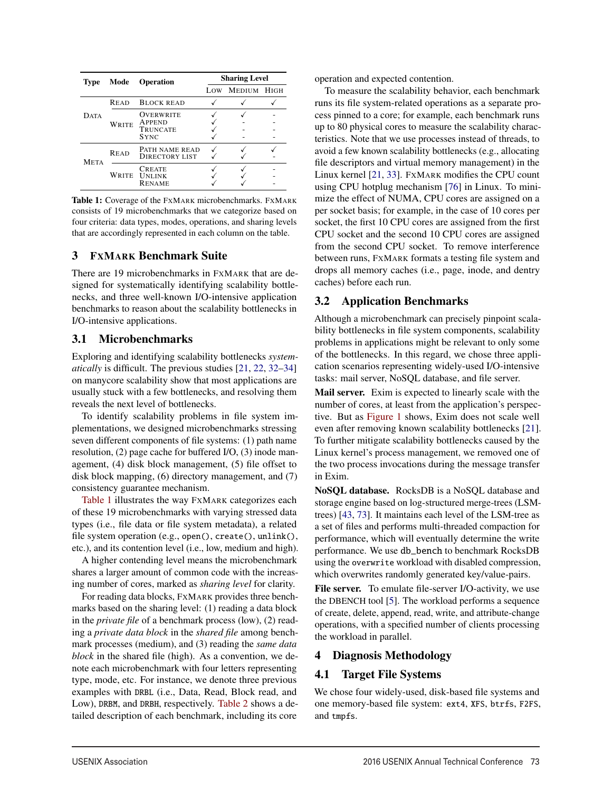| <b>Type</b> | Mode        | <b>Operation</b>                                      | <b>Sharing Level</b> |             |  |  |
|-------------|-------------|-------------------------------------------------------|----------------------|-------------|--|--|
|             |             |                                                       |                      | MEDIUM HIGH |  |  |
|             | <b>READ</b> | <b>BLOCK READ</b>                                     |                      |             |  |  |
| <b>DATA</b> | WRITE       | OVERWRITE<br>APPEND<br><b>TRUNCATE</b><br><b>SYNC</b> |                      |             |  |  |
| <b>META</b> | <b>READ</b> | PATH NAME READ<br><b>DIRECTORY LIST</b>               |                      |             |  |  |
|             | WRITE       | <b>CREATE</b><br><b>UNLINK</b><br><b>RENAME</b>       |                      |             |  |  |

Table 1: Coverage of the FXMARK microbenchmarks. FXMARK consists of 19 microbenchmarks that we categorize based on four criteria: data types, modes, operations, and sharing levels that are accordingly represented in each column on the table.

# 3 FXMARK Benchmark Suite

There are 19 microbenchmarks in FXMARK that are designed for systematically identifying scalability bottlenecks, and three well-known I/O-intensive application benchmarks to reason about the scalability bottlenecks in I/O-intensive applications.

# 3.1 Microbenchmarks

Exploring and identifying scalability bottlenecks *systematically* is difficult. The previous studies [21, 22, 32–34] on manycore scalability show that most applications are usually stuck with a few bottlenecks, and resolving them reveals the next level of bottlenecks.

To identify scalability problems in file system implementations, we designed microbenchmarks stressing seven different components of file systems: (1) path name resolution, (2) page cache for buffered I/O, (3) inode management, (4) disk block management, (5) file offset to disk block mapping, (6) directory management, and (7) consistency guarantee mechanism.

Table 1 illustrates the way FXMARK categorizes each of these 19 microbenchmarks with varying stressed data types (i.e., file data or file system metadata), a related file system operation (e.g., open(), create(), unlink(), etc.), and its contention level (i.e., low, medium and high).

A higher contending level means the microbenchmark shares a larger amount of common code with the increasing number of cores, marked as *sharing level* for clarity.

For reading data blocks, FXMARK provides three benchmarks based on the sharing level: (1) reading a data block in the *private file* of a benchmark process (low), (2) reading a *private data block* in the *shared file* among benchmark processes (medium), and (3) reading the *same data block* in the shared file (high). As a convention, we denote each microbenchmark with four letters representing type, mode, etc. For instance, we denote three previous examples with DRBL (i.e., Data, Read, Block read, and Low), DRBM, and DRBH, respectively. Table 2 shows a detailed description of each benchmark, including its core

operation and expected contention.

To measure the scalability behavior, each benchmark runs its file system-related operations as a separate process pinned to a core; for example, each benchmark runs up to 80 physical cores to measure the scalability characteristics. Note that we use processes instead of threads, to avoid a few known scalability bottlenecks (e.g., allocating file descriptors and virtual memory management) in the Linux kernel [21, 33]. FXMARK modifies the CPU count using CPU hotplug mechanism [76] in Linux. To minimize the effect of NUMA, CPU cores are assigned on a per socket basis; for example, in the case of 10 cores per socket, the first 10 CPU cores are assigned from the first CPU socket and the second 10 CPU cores are assigned from the second CPU socket. To remove interference between runs, FXMARK formats a testing file system and drops all memory caches (i.e., page, inode, and dentry caches) before each run.

# 3.2 Application Benchmarks

Although a microbenchmark can precisely pinpoint scalability bottlenecks in file system components, scalability problems in applications might be relevant to only some of the bottlenecks. In this regard, we chose three application scenarios representing widely-used I/O-intensive tasks: mail server, NoSQL database, and file server.

Mail server. Exim is expected to linearly scale with the number of cores, at least from the application's perspective. But as Figure 1 shows, Exim does not scale well even after removing known scalability bottlenecks [21]. To further mitigate scalability bottlenecks caused by the Linux kernel's process management, we removed one of the two process invocations during the message transfer in Exim.

NoSQL database. RocksDB is a NoSQL database and storage engine based on log-structured merge-trees (LSMtrees) [43, 73]. It maintains each level of the LSM-tree as a set of files and performs multi-threaded compaction for performance, which will eventually determine the write performance. We use db\_bench to benchmark RocksDB using the overwrite workload with disabled compression, which overwrites randomly generated key/value-pairs.

File server. To emulate file-server I/O-activity, we use the DBENCH tool [5]. The workload performs a sequence of create, delete, append, read, write, and attribute-change operations, with a specified number of clients processing the workload in parallel.

# 4 Diagnosis Methodology

# 4.1 Target File Systems

3

We chose four widely-used, disk-based file systems and one memory-based file system: ext4, XFS, btrfs, F2FS, and tmpfs.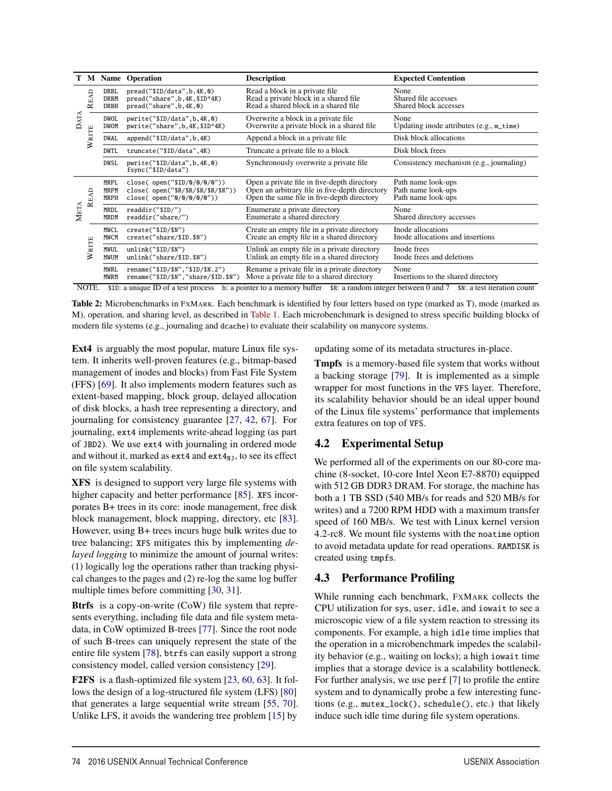|          |            |                                    | <b>M</b> Name Operation                                                                              | <b>Description</b>                                                                                                                          | <b>Expected Contention</b>                                     |  |
|----------|------------|------------------------------------|------------------------------------------------------------------------------------------------------|---------------------------------------------------------------------------------------------------------------------------------------------|----------------------------------------------------------------|--|
| АTА<br>c | READ       | <b>DRBL</b><br><b>DRBM</b><br>DRBH | pread("\$ID/data", b, 4K, 0)<br>pread("share", b, 4K, \$ID*4K)<br>pred(''share', b, 4K, 0)           | Read a block in a private file.<br>Read a private block in a shared file<br>Read a shared block in a shared file                            | None<br>Shared file accesses<br>Shared block accesses          |  |
|          | WRITE      | DWOL<br><b>DWOM</b>                | pwrite("\$ID/data",b,4K,0)<br>pwrite("share",b,4K,\$ID*4K)                                           | Overwrite a block in a private file<br>Overwrite a private block in a shared file.                                                          | None<br>Updating inode attributes $(e.g., m_time)$             |  |
|          |            | DWAL                               | append("\$ID/data",b,4K)                                                                             | Append a block in a private file.                                                                                                           | Disk block allocations                                         |  |
|          |            | <b>DWTL</b>                        | truncate("\$ID/data",4K)                                                                             | Truncate a private file to a block                                                                                                          | Disk block frees                                               |  |
|          |            | DWSL                               | pwrite("\$ID/data",b,4K,0)<br>fsync("\$ID/data")                                                     | Synchronously overwrite a private file.                                                                                                     | Consistency mechanism (e.g., journaling)                       |  |
| META     | READ       | <b>MRPL</b><br><b>MRPM</b><br>MRPH | close( open("\$ID/0/0/0/0"))<br>close( $open("$R/$R/$R/$R/$R/$R"$ ))<br>close( $open("0/0/0/0/0"$ )) | Open a private file in five-depth directory<br>Open an arbitrary file in five-depth directory<br>Open the same file in five-depth directory | Path name look-ups<br>Path name look-ups<br>Path name look-ups |  |
|          |            | <b>MRDL</b><br><b>MRDM</b>         | readdir("\$ID/")<br>readdir("share/")                                                                | Enumerate a private directory<br>Enumerate a shared directory                                                                               | None<br>Shared directory accesses                              |  |
|          | WRITE      | <b>MWCL</b><br><b>MWCM</b>         | create("\$ID/\$N")<br>create("share/\$ID.\$N")                                                       | Create an empty file in a private directory<br>Create an empty file in a shared directory                                                   | Inode allocations<br>Inode allocations and insertions          |  |
|          |            | MWUL<br>MWUM                       | unlink("\$ID\$/\$N")<br>$unlink("share/\$ID.\$N")$                                                   | Unlink an empty file in a private directory<br>Unlink an empty file in a shared directory                                                   | Inode frees<br>Inode frees and deletions                       |  |
|          |            | <b>MWRL</b><br><b>MWRM</b>         | rename("\$ID/\$N","\$ID/\$N.2")<br>rename("\$ID/\$N","share/\$ID.\$N")                               | Rename a private file in a private directory<br>Move a private file to a shared directory                                                   | None<br>Insertions to the shared directory                     |  |
|          | $\sqrt{2}$ |                                    | $\mathbf{r}$ $\mathbf{r}$ $\mathbf{r}$ $\mathbf{r}$                                                  | $r$ $\alpha$                                                                                                                                |                                                                |  |

NOTE. \$ID: a unique ID of a test process b: a pointer to a memory buffer \$R: a random integer between 0 and 7 \$N: a test iteration count

Table 2: Microbenchmarks in FXMARK. Each benchmark is identified by four letters based on type (marked as T), mode (marked as M), operation, and sharing level, as described in Table 1. Each microbenchmark is designed to stress specific building blocks of modern file systems (e.g., journaling and dcache) to evaluate their scalability on manycore systems.

4

Ext4 is arguably the most popular, mature Linux file system. It inherits well-proven features (e.g., bitmap-based management of inodes and blocks) from Fast File System (FFS) [69]. It also implements modern features such as extent-based mapping, block group, delayed allocation of disk blocks, a hash tree representing a directory, and journaling for consistency guarantee [27, 42, 67]. For journaling, ext4 implements write-ahead logging (as part of JBD2). We use ext4 with journaling in ordered mode and without it, marked as ext4 and  $ext{ext}_{NJ}$ , to see its effect on file system scalability.

XFS is designed to support very large file systems with higher capacity and better performance [85]. XFS incorporates B+ trees in its core: inode management, free disk block management, block mapping, directory, etc [83]. However, using B+ trees incurs huge bulk writes due to tree balancing; XFS mitigates this by implementing *delayed logging* to minimize the amount of journal writes: (1) logically log the operations rather than tracking physical changes to the pages and (2) re-log the same log buffer multiple times before committing [30, 31].

Btrfs is a copy-on-write (CoW) file system that represents everything, including file data and file system metadata, in CoW optimized B-trees [77]. Since the root node of such B-trees can uniquely represent the state of the entire file system [78], btrfs can easily support a strong consistency model, called version consistency [29].

F2FS is a flash-optimized file system [23, 60, 63]. It follows the design of a log-structured file system (LFS) [80] that generates a large sequential write stream [55, 70]. Unlike LFS, it avoids the wandering tree problem [15] by

updating some of its metadata structures in-place.

Tmpfs is a memory-based file system that works without a backing storage [79]. It is implemented as a simple wrapper for most functions in the VFS layer. Therefore, its scalability behavior should be an ideal upper bound of the Linux file systems' performance that implements extra features on top of VFS.

# 4.2 Experimental Setup

We performed all of the experiments on our 80-core machine (8-socket, 10-core Intel Xeon E7-8870) equipped with 512 GB DDR3 DRAM. For storage, the machine has both a 1 TB SSD (540 MB/s for reads and 520 MB/s for writes) and a 7200 RPM HDD with a maximum transfer speed of 160 MB/s. We test with Linux kernel version 4.2-rc8. We mount file systems with the noatime option to avoid metadata update for read operations. RAMDISK is created using tmpfs.

# 4.3 Performance Profiling

While running each benchmark, FXMARK collects the CPU utilization for sys, user, idle, and iowait to see a microscopic view of a file system reaction to stressing its components. For example, a high idle time implies that the operation in a microbenchmark impedes the scalability behavior (e.g., waiting on locks); a high iowait time implies that a storage device is a scalability bottleneck. For further analysis, we use perf [7] to profile the entire system and to dynamically probe a few interesting functions (e.g., mutex\_lock(), schedule(), etc.) that likely induce such idle time during file system operations.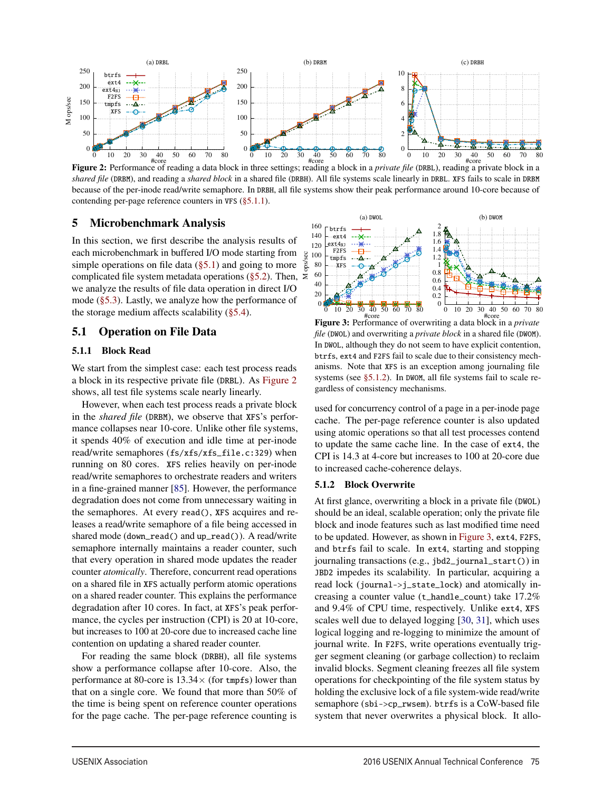

Figure 2: Performance of reading a data block in three settings; reading a block in a *private file* (DRBL), reading a private block in a *shared file* (DRBM), and reading a *shared block* in a shared file (DRBH). All file systems scale linearly in DRBL. XFS fails to scale in DRBM because of the per-inode read/write semaphore. In DRBH, all file systems show their peak performance around 10-core because of contending per-page reference counters in VFS (§5.1.1).

# 5 Microbenchmark Analysis

In this section, we first describe the analysis results of each microbenchmark in buffered I/O mode starting from simple operations on file data  $(\S 5.1)$  and going to more complicated file system metadata operations (§5.2). Then,  $\ge$ we analyze the results of file data operation in direct I/O mode (§5.3). Lastly, we analyze how the performance of the storage medium affects scalability  $(\S 5.4)$ . M ops/sec

# 5.1 Operation on File Data

#### 5.1.1 Block Read

We start from the simplest case: each test process reads a block in its respective private file (DRBL). As Figure 2 shows, all test file systems scale nearly linearly.

However, when each test process reads a private block in the *shared file* (DRBM), we observe that XFS's performance collapses near 10-core. Unlike other file systems, it spends 40% of execution and idle time at per-inode read/write semaphores (fs/xfs/xfs\_file.c:329) when running on 80 cores. XFS relies heavily on per-inode read/write semaphores to orchestrate readers and writers in a fine-grained manner [85]. However, the performance degradation does not come from unnecessary waiting in the semaphores. At every read(), XFS acquires and releases a read/write semaphore of a file being accessed in shared mode (down\_read() and up\_read()). A read/write semaphore internally maintains a reader counter, such that every operation in shared mode updates the reader counter *atomically*. Therefore, concurrent read operations on a shared file in XFS actually perform atomic operations on a shared reader counter. This explains the performance degradation after 10 cores. In fact, at XFS's peak performance, the cycles per instruction (CPI) is 20 at 10-core, but increases to 100 at 20-core due to increased cache line contention on updating a shared reader counter.

For reading the same block (DRBH), all file systems show a performance collapse after 10-core. Also, the performance at 80-core is  $13.34\times$  (for tmpfs) lower than that on a single core. We found that more than 50% of the time is being spent on reference counter operations for the page cache. The per-page reference counting is



#core Figure 3: Performance of overwriting a data block in a *private file* (DWOL) and overwriting a *private block* in a shared file (DWOM). In DWOL, although they do not seem to have explicit contention, btrfs, ext4 and F2FS fail to scale due to their consistency mechanisms. Note that XFS is an exception among journaling file systems (see §5.1.2). In DWOM, all file systems fail to scale regardless of consistency mechanisms.

used for concurrency control of a page in a per-inode page cache. The per-page reference counter is also updated using atomic operations so that all test processes contend to update the same cache line. In the case of ext4, the CPI is 14.3 at 4-core but increases to 100 at 20-core due to increased cache-coherence delays.

#### 5.1.2 Block Overwrite

5

At first glance, overwriting a block in a private file (DWOL) should be an ideal, scalable operation; only the private file block and inode features such as last modified time need to be updated. However, as shown in Figure 3, ext4, F2FS, and btrfs fail to scale. In ext4, starting and stopping journaling transactions (e.g., jbd2\_journal\_start()) in JBD2 impedes its scalability. In particular, acquiring a read lock (journal->j\_state\_lock) and atomically increasing a counter value (t\_handle\_count) take 17.2% and 9.4% of CPU time, respectively. Unlike ext4, XFS scales well due to delayed logging [30, 31], which uses logical logging and re-logging to minimize the amount of journal write. In F2FS, write operations eventually trigger segment cleaning (or garbage collection) to reclaim invalid blocks. Segment cleaning freezes all file system operations for checkpointing of the file system status by holding the exclusive lock of a file system-wide read/write semaphore (sbi->cp\_rwsem). btrfs is a CoW-based file system that never overwrites a physical block. It allo-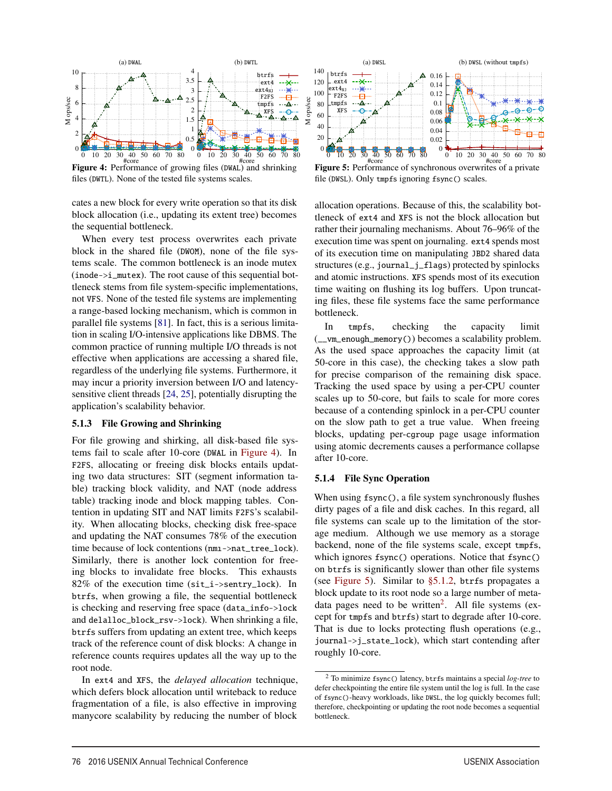

Figure 4: Performance of growing files (DWAL) and shrinking files (DWTL). None of the tested file systems scales.

cates a new block for every write operation so that its disk block allocation (i.e., updating its extent tree) becomes the sequential bottleneck.

When every test process overwrites each private block in the shared file (DWOM), none of the file systems scale. The common bottleneck is an inode mutex (inode->i\_mutex). The root cause of this sequential bottleneck stems from file system-specific implementations, not VFS. None of the tested file systems are implementing a range-based locking mechanism, which is common in parallel file systems [81]. In fact, this is a serious limitation in scaling I/O-intensive applications like DBMS. The common practice of running multiple I/O threads is not effective when applications are accessing a shared file, regardless of the underlying file systems. Furthermore, it may incur a priority inversion between I/O and latencysensitive client threads [24, 25], potentially disrupting the application's scalability behavior.

#### 5.1.3 File Growing and Shrinking

For file growing and shirking, all disk-based file systems fail to scale after 10-core (DWAL in Figure 4). In F2FS, allocating or freeing disk blocks entails updating two data structures: SIT (segment information table) tracking block validity, and NAT (node address table) tracking inode and block mapping tables. Contention in updating SIT and NAT limits F2FS's scalability. When allocating blocks, checking disk free-space and updating the NAT consumes 78% of the execution time because of lock contentions (nmı->nat\_tree\_lock). Similarly, there is another lock contention for freeing blocks to invalidate free blocks. This exhausts  $82\%$  of the execution time (sit\_i->sentry\_lock). In btrfs, when growing a file, the sequential bottleneck is checking and reserving free space (data\_info->lock and delalloc\_block\_rsv->lock). When shrinking a file, btrfs suffers from updating an extent tree, which keeps track of the reference count of disk blocks: A change in reference counts requires updates all the way up to the root node.

In ext4 and XFS, the *delayed allocation* technique, which defers block allocation until writeback to reduce fragmentation of a file, is also effective in improving manycore scalability by reducing the number of block



Figure 5: Performance of synchronous overwrites of a private file (DWSL). Only tmpfs ignoring fsync() scales.

allocation operations. Because of this, the scalability bottleneck of ext4 and XFS is not the block allocation but rather their journaling mechanisms. About 76–96% of the execution time was spent on journaling. ext4 spends most of its execution time on manipulating JBD2 shared data structures (e.g., journal\_j\_flags) protected by spinlocks and atomic instructions. XFS spends most of its execution time waiting on flushing its log buffers. Upon truncating files, these file systems face the same performance bottleneck.

In tmpfs, checking the capacity limit (\_\_vm\_enough\_memory()) becomes a scalability problem. As the used space approaches the capacity limit (at 50-core in this case), the checking takes a slow path for precise comparison of the remaining disk space. Tracking the used space by using a per-CPU counter scales up to 50-core, but fails to scale for more cores because of a contending spinlock in a per-CPU counter on the slow path to get a true value. When freeing blocks, updating per-cgroup page usage information using atomic decrements causes a performance collapse after 10-core.

#### 5.1.4 File Sync Operation

6

When using fsync(), a file system synchronously flushes dirty pages of a file and disk caches. In this regard, all file systems can scale up to the limitation of the storage medium. Although we use memory as a storage backend, none of the file systems scale, except tmpfs, which ignores fsync() operations. Notice that fsync() on btrfs is significantly slower than other file systems (see Figure 5). Similar to §5.1.2, btrfs propagates a block update to its root node so a large number of metadata pages need to be written<sup>2</sup>. All file systems (except for tmpfs and btrfs) start to degrade after 10-core. That is due to locks protecting flush operations (e.g., journal->j\_state\_lock), which start contending after roughly 10-core.

<sup>2</sup> To minimize fsync() latency, btrfs maintains a special *log-tree* to defer checkpointing the entire file system until the log is full. In the case of fsync()-heavy workloads, like DWSL, the log quickly becomes full; therefore, checkpointing or updating the root node becomes a sequential bottleneck.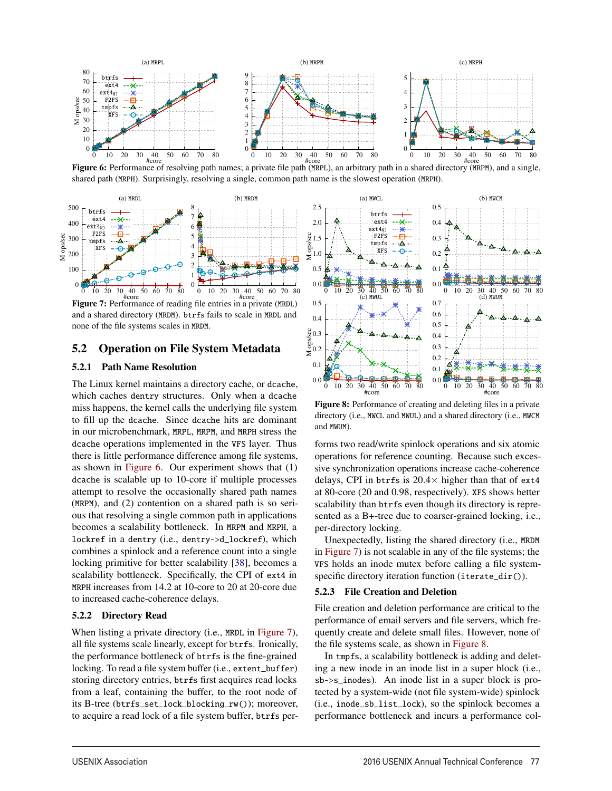

Figure 6: Performance of resolving path names; a private file path (MRPL), an arbitrary path in a shared directory (MRPM), and a single, shared path (MRPH). Surprisingly, resolving a single, common path name is the slowest operation (MRPH).



Figure 7: Performance of reading file entries in a private (MRDL) and a shared directory (MRDM). btrfs fails to scale in MRDL and none of the file systems scales in MRDM.

# 5.2 Operation on File System Metadata

#### 5.2.1 Path Name Resolution

The Linux kernel maintains a directory cache, or dcache, which caches dentry structures. Only when a dcache miss happens, the kernel calls the underlying file system to fill up the dcache. Since dcache hits are dominant in our microbenchmark, MRPL, MRPM, and MRPH stress the dcache operations implemented in the VFS layer. Thus there is little performance difference among file systems, as shown in Figure 6. Our experiment shows that (1) dcache is scalable up to 10-core if multiple processes attempt to resolve the occasionally shared path names (MRPM), and (2) contention on a shared path is so serious that resolving a single common path in applications becomes a scalability bottleneck. In MRPM and MRPH, a lockref in a dentry (i.e., dentry->d\_lockref), which combines a spinlock and a reference count into a single locking primitive for better scalability [38], becomes a scalability bottleneck. Specifically, the CPI of ext4 in MRPH increases from 14.2 at 10-core to 20 at 20-core due to increased cache-coherence delays.

#### 5.2.2 Directory Read

When listing a private directory (i.e., MRDL in Figure 7), all file systems scale linearly, except for btrfs. Ironically, the performance bottleneck of btrfs is the fine-grained locking. To read a file system buffer (i.e., extent\_buffer) storing directory entries, btrfs first acquires read locks from a leaf, containing the buffer, to the root node of its B-tree (btrfs\_set\_lock\_blocking\_rw()); moreover, to acquire a read lock of a file system buffer, btrfs per-



Figure 8: Performance of creating and deleting files in a private directory (i.e., MWCL and MWUL) and a shared directory (i.e., MWCM and MWUM).

forms two read/write spinlock operations and six atomic operations for reference counting. Because such excessive synchronization operations increase cache-coherence delays, CPI in btrfs is  $20.4\times$  higher than that of ext4 at 80-core (20 and 0.98, respectively). XFS shows better scalability than btrfs even though its directory is represented as a B+-tree due to coarser-grained locking, i.e., per-directory locking.

Unexpectedly, listing the shared directory (i.e., MRDM in Figure 7) is not scalable in any of the file systems; the VFS holds an inode mutex before calling a file systemspecific directory iteration function (iterate\_dir()).

#### 5.2.3 File Creation and Deletion

7

File creation and deletion performance are critical to the performance of email servers and file servers, which frequently create and delete small files. However, none of the file systems scale, as shown in Figure 8.

In tmpfs, a scalability bottleneck is adding and deleting a new inode in an inode list in a super block (i.e., sb->s\_inodes). An inode list in a super block is protected by a system-wide (not file system-wide) spinlock (i.e., inode\_sb\_list\_lock), so the spinlock becomes a performance bottleneck and incurs a performance col-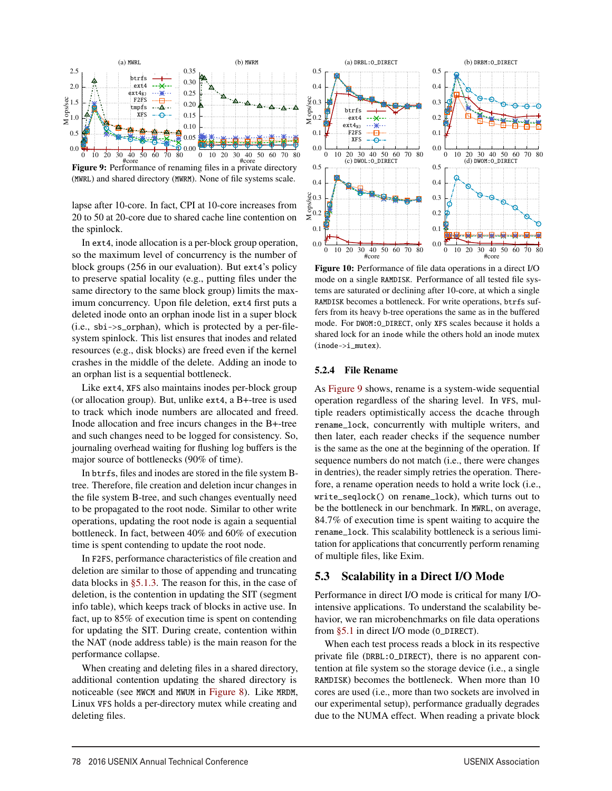

Figure 9: Performance of renaming files in a private directory (MWRL) and shared directory (MWRM). None of file systems scale.

lapse after 10-core. In fact, CPI at 10-core increases from 20 to 50 at 20-core due to shared cache line contention on the spinlock.

In ext4, inode allocation is a per-block group operation, so the maximum level of concurrency is the number of block groups (256 in our evaluation). But ext4's policy to preserve spatial locality (e.g., putting files under the same directory to the same block group) limits the maximum concurrency. Upon file deletion, ext4 first puts a deleted inode onto an orphan inode list in a super block (i.e., sbi->s\_orphan), which is protected by a per-filesystem spinlock. This list ensures that inodes and related resources (e.g., disk blocks) are freed even if the kernel crashes in the middle of the delete. Adding an inode to an orphan list is a sequential bottleneck.

Like ext4, XFS also maintains inodes per-block group (or allocation group). But, unlike ext4, a B+-tree is used to track which inode numbers are allocated and freed. Inode allocation and free incurs changes in the B+-tree and such changes need to be logged for consistency. So, journaling overhead waiting for flushing log buffers is the major source of bottlenecks (90% of time).

In btrfs, files and inodes are stored in the file system Btree. Therefore, file creation and deletion incur changes in the file system B-tree, and such changes eventually need to be propagated to the root node. Similar to other write operations, updating the root node is again a sequential bottleneck. In fact, between 40% and 60% of execution time is spent contending to update the root node.

In F2FS, performance characteristics of file creation and deletion are similar to those of appending and truncating data blocks in §5.1.3. The reason for this, in the case of deletion, is the contention in updating the SIT (segment info table), which keeps track of blocks in active use. In fact, up to 85% of execution time is spent on contending for updating the SIT. During create, contention within the NAT (node address table) is the main reason for the performance collapse.

When creating and deleting files in a shared directory, additional contention updating the shared directory is noticeable (see MWCM and MWUM in Figure 8). Like MRDM, Linux VFS holds a per-directory mutex while creating and deleting files.



Figure 10: Performance of file data operations in a direct I/O mode on a single RAMDISK. Performance of all tested file systems are saturated or declining after 10-core, at which a single RAMDISK becomes a bottleneck. For write operations, btrfs suffers from its heavy b-tree operations the same as in the buffered mode. For DWOM:O\_DIRECT, only XFS scales because it holds a shared lock for an inode while the others hold an inode mutex (inode->i\_mutex).

#### 5.2.4 File Rename

8

As Figure 9 shows, rename is a system-wide sequential operation regardless of the sharing level. In VFS, multiple readers optimistically access the dcache through rename\_lock, concurrently with multiple writers, and then later, each reader checks if the sequence number is the same as the one at the beginning of the operation. If sequence numbers do not match (i.e., there were changes in dentries), the reader simply retries the operation. Therefore, a rename operation needs to hold a write lock (i.e., write\_seqlock() on rename\_lock), which turns out to be the bottleneck in our benchmark. In MWRL, on average, 84.7% of execution time is spent waiting to acquire the rename\_lock. This scalability bottleneck is a serious limitation for applications that concurrently perform renaming of multiple files, like Exim.

# 5.3 Scalability in a Direct I/O Mode

Performance in direct I/O mode is critical for many I/Ointensive applications. To understand the scalability behavior, we ran microbenchmarks on file data operations from §5.1 in direct I/O mode (0\_DIRECT).

When each test process reads a block in its respective private file (DRBL:O\_DIRECT), there is no apparent contention at file system so the storage device (i.e., a single RAMDISK) becomes the bottleneck. When more than 10 cores are used (i.e., more than two sockets are involved in our experimental setup), performance gradually degrades due to the NUMA effect. When reading a private block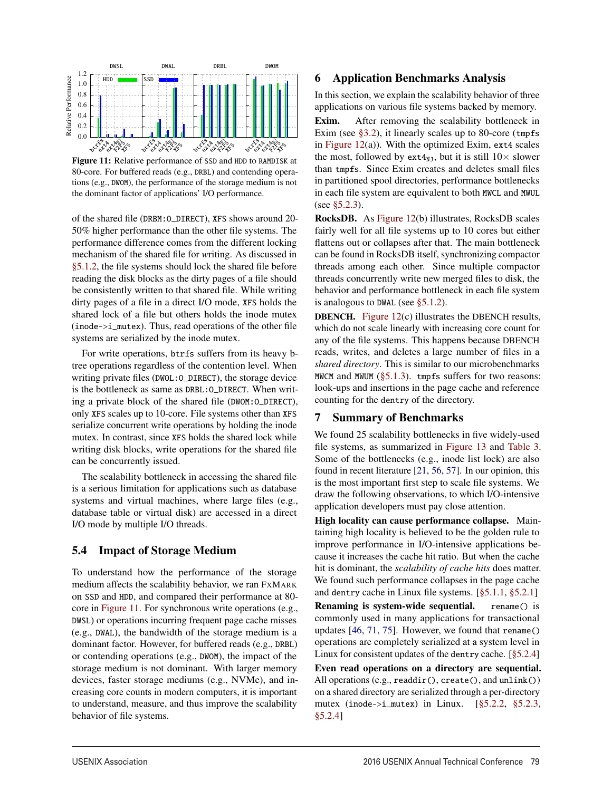

Figure 11: Relative performance of SSD and HDD to RAMDISK at 80-core. For buffered reads (e.g., DRBL) and contending operations (e.g., DWOM), the performance of the storage medium is not the dominant factor of applications' I/O performance.

of the shared file (DRBM:O\_DIRECT), XFS shows around 20- 50% higher performance than the other file systems. The performance difference comes from the different locking mechanism of the shared file for *w*riting. As discussed in §5.1.2, the file systems should lock the shared file before reading the disk blocks as the dirty pages of a file should be consistently written to that shared file. While writing dirty pages of a file in a direct I/O mode, XFS holds the shared lock of a file but others holds the inode mutex (inode->i\_mutex). Thus, read operations of the other file systems are serialized by the inode mutex.

For write operations, btrfs suffers from its heavy btree operations regardless of the contention level. When writing private files (DWOL:O\_DIRECT), the storage device is the bottleneck as same as DRBL:O\_DIRECT. When writing a private block of the shared file (DWOM:O\_DIRECT), only XFS scales up to 10-core. File systems other than XFS serialize concurrent write operations by holding the inode mutex. In contrast, since XFS holds the shared lock while writing disk blocks, write operations for the shared file can be concurrently issued.

The scalability bottleneck in accessing the shared file is a serious limitation for applications such as database systems and virtual machines, where large files (e.g., database table or virtual disk) are accessed in a direct I/O mode by multiple I/O threads.

# 5.4 Impact of Storage Medium

To understand how the performance of the storage medium affects the scalability behavior, we ran FXMARK on SSD and HDD, and compared their performance at 80 core in Figure 11. For synchronous write operations (e.g., DWSL) or operations incurring frequent page cache misses (e.g., DWAL), the bandwidth of the storage medium is a dominant factor. However, for buffered reads (e.g., DRBL) or contending operations (e.g., DWOM), the impact of the storage medium is not dominant. With larger memory devices, faster storage mediums (e.g., NVMe), and increasing core counts in modern computers, it is important to understand, measure, and thus improve the scalability behavior of file systems.

## 6 Application Benchmarks Analysis

In this section, we explain the scalability behavior of three applications on various file systems backed by memory.

Exim. After removing the scalability bottleneck in Exim (see  $\S 3.2$ ), it linearly scales up to 80-core (tmpfs) in Figure  $12(a)$ ). With the optimized Exim, ext4 scales the most, followed by ext $4_{NJ}$ , but it is still  $10 \times$  slower than tmpfs. Since Exim creates and deletes small files in partitioned spool directories, performance bottlenecks in each file system are equivalent to both MWCL and MWUL (see §5.2.3).

RocksDB. As Figure 12(b) illustrates, RocksDB scales fairly well for all file systems up to 10 cores but either flattens out or collapses after that. The main bottleneck can be found in RocksDB itself, synchronizing compactor threads among each other. Since multiple compactor threads concurrently write new merged files to disk, the behavior and performance bottleneck in each file system is analogous to DWAL (see §5.1.2).

DBENCH. Figure 12(c) illustrates the DBENCH results, which do not scale linearly with increasing core count for any of the file systems. This happens because DBENCH reads, writes, and deletes a large number of files in a *shared directory*. This is similar to our microbenchmarks MWCM and MWUM  $(\S 5.1.3)$ . tmpfs suffers for two reasons: look-ups and insertions in the page cache and reference counting for the dentry of the directory.

### 7 Summary of Benchmarks

We found 25 scalability bottlenecks in five widely-used file systems, as summarized in Figure 13 and Table 3. Some of the bottlenecks (e.g., inode list lock) are also found in recent literature [21, 56, 57]. In our opinion, this is the most important first step to scale file systems. We draw the following observations, to which I/O-intensive application developers must pay close attention.

High locality can cause performance collapse. Maintaining high locality is believed to be the golden rule to improve performance in I/O-intensive applications because it increases the cache hit ratio. But when the cache hit is dominant, the *scalability of cache hits* does matter. We found such performance collapses in the page cache and dentry cache in Linux file systems. [§5.1.1, §5.2.1]

Renaming is system-wide sequential. rename() is commonly used in many applications for transactional updates [46, 71, 75]. However, we found that rename() operations are completely serialized at a system level in Linux for consistent updates of the dentry cache. [§5.2.4]

Even read operations on a directory are sequential. All operations (e.g., readdir(), create(), and unlink()) on a shared directory are serialized through a per-directory mutex (inode->i\_mutex) in Linux. [§5.2.2, §5.2.3, §5.2.4]

9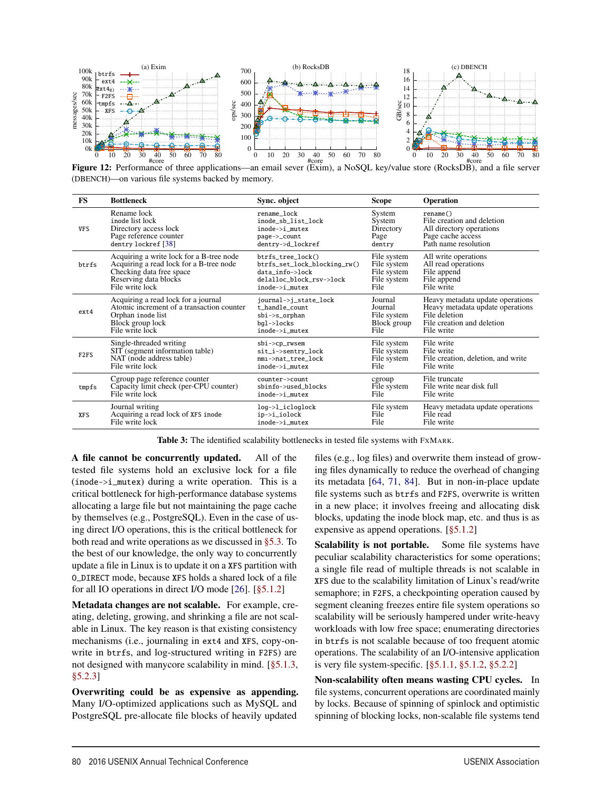

Figure 12: Performance of three applications—an email sever (Exim), a NoSQL key/value store (RocksDB), and a file server (DBENCH)—on various file systems backed by memory.

| <b>FS</b>        | <b>Bottleneck</b>                         | Sync. object                 | <b>Scope</b> | Operation                          |
|------------------|-------------------------------------------|------------------------------|--------------|------------------------------------|
| <b>VFS</b>       | Rename lock                               | rename lock                  | System       | rename()                           |
|                  | inode list lock                           | inode sb list lock           | System       | File creation and deletion         |
|                  | Directory access lock                     | $inode->i$ mutex             | Directory    | All directory operations           |
|                  | Page reference counter                    | page->_count                 | Page         | Page cache access                  |
|                  | dentry lockref [38]                       | dentry->d_lockref            | dentry       | Path name resolution               |
| btrfs            | Acquiring a write lock for a B-tree node  | $btrfs$ tree $lock()$        | File system  | All write operations               |
|                  | Acquiring a read lock for a B-tree node   | btrfs_set_lock_blocking_rw() | File system  | All read operations                |
|                  | Checking data free space                  | data info->lock              | File system  | File append                        |
|                  | Reserving data blocks                     | delalloc_block_rsv->lock     | File system  | File append                        |
|                  | File write lock                           | inode->i mutex               | File         | File write                         |
| ext4             | Acquiring a read lock for a journal       | journal->j_state_lock        | Journal      | Heavy metadata update operations   |
|                  | Atomic increment of a transaction counter | t handle count               | Journal      | Heavy metadata update operations   |
|                  | Orphan inode list                         | $\phi$ i->s_orphan           | File system  | File deletion                      |
|                  | Block group lock                          | bgl->locks                   | Block group  | File creation and deletion         |
|                  | File write lock                           | inode->i mutex               | File         | File write                         |
| F <sub>2FS</sub> | Single-threaded writing                   | $\phi$ ->cp_rwsem            | File system  | File write                         |
|                  | SIT (segment information table)           | sit_i->sentry_lock           | File system  | File write                         |
|                  | NAT (node address table)                  | nmi->nat tree lock           | File system  | File creation, deletion, and write |
|                  | File write lock                           | inode->i_mutex               | File         | File write                         |
| tmpfs            | Cgroup page reference counter             | counter->count               | cgroup       | File truncate                      |
|                  | Capacity limit check (per-CPU counter)    | sbinfo->used_blocks          | File system  | File write near disk full          |
|                  | File write lock                           | inode->i_mutex               | File         | File write                         |
| <b>XFS</b>       | Journal writing                           | log->l_icloglock             | File system  | Heavy metadata update operations   |
|                  | Acquiring a read lock of XFS inode        | ip->i_iolock                 | File         | File read                          |
|                  | File write lock                           | inode->i mutex               | File         | File write                         |

Table 3: The identified scalability bottlenecks in tested file systems with FXMARK.

10

A file cannot be concurrently updated. All of the tested file systems hold an exclusive lock for a file (inode->i\_mutex) during a write operation. This is a critical bottleneck for high-performance database systems allocating a large file but not maintaining the page cache by themselves (e.g., PostgreSQL). Even in the case of using direct I/O operations, this is the critical bottleneck for both read and write operations as we discussed in §5.3. To the best of our knowledge, the only way to concurrently update a file in Linux is to update it on a XFS partition with O\_DIRECT mode, because XFS holds a shared lock of a file for all IO operations in direct I/O mode [26]. [§5.1.2]

Metadata changes are not scalable. For example, creating, deleting, growing, and shrinking a file are not scalable in Linux. The key reason is that existing consistency mechanisms (i.e., journaling in ext4 and XFS, copy-onwrite in btrfs, and log-structured writing in F2FS) are not designed with manycore scalability in mind. [§5.1.3, §5.2.3]

Overwriting could be as expensive as appending. Many I/O-optimized applications such as MySQL and PostgreSQL pre-allocate file blocks of heavily updated

files (e.g., log files) and overwrite them instead of growing files dynamically to reduce the overhead of changing its metadata [64, 71, 84]. But in non-in-place update file systems such as btrfs and F2FS, overwrite is written in a new place; it involves freeing and allocating disk blocks, updating the inode block map, etc. and thus is as expensive as append operations. [§5.1.2]

Scalability is not portable. Some file systems have peculiar scalability characteristics for some operations; a single file read of multiple threads is not scalable in XFS due to the scalability limitation of Linux's read/write semaphore; in F2FS, a checkpointing operation caused by segment cleaning freezes entire file system operations so scalability will be seriously hampered under write-heavy workloads with low free space; enumerating directories in btrfs is not scalable because of too frequent atomic operations. The scalability of an I/O-intensive application is very file system-specific. [§5.1.1, §5.1.2, §5.2.2]

Non-scalability often means wasting CPU cycles. In file systems, concurrent operations are coordinated mainly by locks. Because of spinning of spinlock and optimistic spinning of blocking locks, non-scalable file systems tend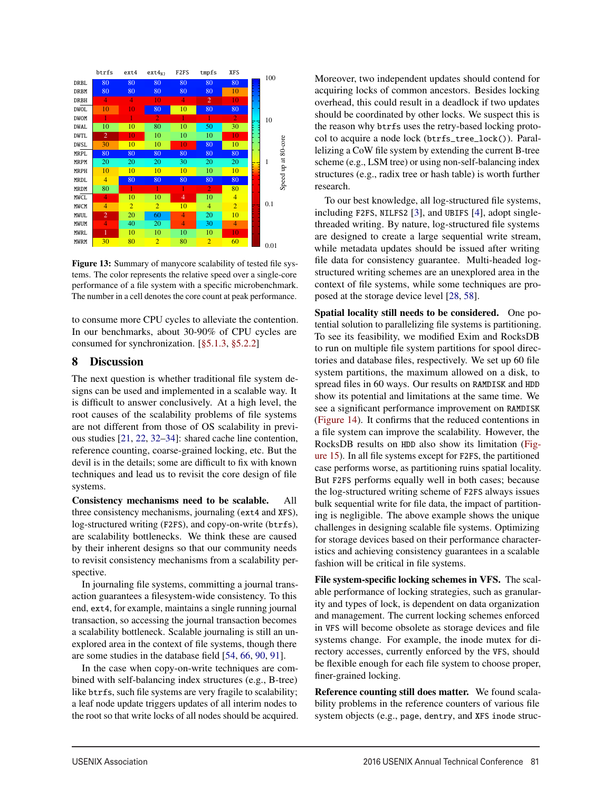|             | btrfs          | ext4           | $ext{4}_{N1}$  | F <sub>2FS</sub> | tmpfs          | XFS            | 100  |                           |
|-------------|----------------|----------------|----------------|------------------|----------------|----------------|------|---------------------------|
| <b>DRBL</b> | 80             | 80             | 80             | 80               | 80             | 80             |      |                           |
| <b>DRBM</b> | 80             | 80             | 80             | 80               | 80             | 10             |      |                           |
| <b>DRBH</b> | $\overline{4}$ | 4              | 10             | 4                | $\overline{2}$ | 10             |      |                           |
| <b>DWOL</b> | 10             | 10             | 80             | 10               | 80             | 80             |      |                           |
| <b>DWOM</b> |                | 1              | $\overline{2}$ | 1                | Ī.             | $\overline{2}$ | 10   |                           |
| <b>DWAL</b> | 10             | 10             | 80             | 10               | 50             | 30             |      |                           |
| <b>DWTL</b> | $\overline{2}$ | 10             | 10             | 10               | 10             | 10             |      |                           |
| <b>DWSL</b> | 30             | 10             | 10             | 10               | 80             | 10             |      | 80-core                   |
| <b>MRPL</b> | 80             | 80             | 80             | 80               | 80             | 80             |      |                           |
| <b>MRPM</b> | 20             | 20             | 20             | 30               | 20             | 20             | 1    | $\overline{\overline{a}}$ |
| <b>MRPH</b> | 10             | 10             | 10             | 10               | 10             | 10             |      | e                         |
| <b>MRDL</b> | $\overline{4}$ | 80             | 80             | 80               | 80             | 80             |      | Speed                     |
| <b>MRDM</b> | 80             | 1              | ı              | 1                | $\overline{2}$ | 80             |      |                           |
| <b>MWCL</b> | 4              | 10             | 10             | 4                | 10             | $\overline{4}$ |      |                           |
| MWCM        | $\overline{4}$ | $\overline{2}$ | $\overline{2}$ | 10               | $\overline{4}$ | $\overline{2}$ | 0.1  |                           |
| <b>MWUL</b> | $\overline{2}$ | 20             | 60             | 4                | 20             | 10             |      |                           |
| MWUM        | 4              | 40             | 20             | 4                | 30             | $\overline{4}$ |      |                           |
| <b>MWRL</b> | 1              | 10             | 10             | 10               | 10             | 10             |      |                           |
| <b>MWRM</b> | 30             | 80             | $\overline{2}$ | 80               | $\overline{2}$ | 60             | 0.01 |                           |
|             |                |                |                |                  |                |                |      |                           |

Figure 13: Summary of manycore scalability of tested file systems. The color represents the relative speed over a single-core performance of a file system with a specific microbenchmark. The number in a cell denotes the core count at peak performance.

to consume more CPU cycles to alleviate the contention. In our benchmarks, about 30-90% of CPU cycles are consumed for synchronization. [§5.1.3, §5.2.2]

# 8 Discussion

The next question is whether traditional file system designs can be used and implemented in a scalable way. It is difficult to answer conclusively. At a high level, the root causes of the scalability problems of file systems are not different from those of OS scalability in previous studies [21, 22, 32–34]: shared cache line contention, reference counting, coarse-grained locking, etc. But the devil is in the details; some are difficult to fix with known techniques and lead us to revisit the core design of file systems.

Consistency mechanisms need to be scalable. All three consistency mechanisms, journaling (ext4 and XFS), log-structured writing (F2FS), and copy-on-write (btrfs), are scalability bottlenecks. We think these are caused by their inherent designs so that our community needs to revisit consistency mechanisms from a scalability perspective.

In journaling file systems, committing a journal transaction guarantees a filesystem-wide consistency. To this end, ext4, for example, maintains a single running journal transaction, so accessing the journal transaction becomes a scalability bottleneck. Scalable journaling is still an unexplored area in the context of file systems, though there are some studies in the database field [54, 66, 90, 91].

In the case when copy-on-write techniques are combined with self-balancing index structures (e.g., B-tree) like btrfs, such file systems are very fragile to scalability; a leaf node update triggers updates of all interim nodes to the root so that write locks of all nodes should be acquired.

11

Moreover, two independent updates should contend for acquiring locks of common ancestors. Besides locking overhead, this could result in a deadlock if two updates should be coordinated by other locks. We suspect this is the reason why btrfs uses the retry-based locking protocol to acquire a node lock (btrfs\_tree\_lock()). Parallelizing a CoW file system by extending the current B-tree scheme (e.g., LSM tree) or using non-self-balancing index structures (e.g., radix tree or hash table) is worth further research.

To our best knowledge, all log-structured file systems, including F2FS, NILFS2 [3], and UBIFS [4], adopt singlethreaded writing. By nature, log-structured file systems are designed to create a large sequential write stream, while metadata updates should be issued after writing file data for consistency guarantee. Multi-headed logstructured writing schemes are an unexplored area in the context of file systems, while some techniques are proposed at the storage device level [28, 58].

Spatial locality still needs to be considered. One potential solution to parallelizing file systems is partitioning. To see its feasibility, we modified Exim and RocksDB to run on multiple file system partitions for spool directories and database files, respectively. We set up 60 file system partitions, the maximum allowed on a disk, to spread files in 60 ways. Our results on RAMDISK and HDD show its potential and limitations at the same time. We see a significant performance improvement on RAMDISK (Figure 14). It confirms that the reduced contentions in a file system can improve the scalability. However, the RocksDB results on HDD also show its limitation (Figure 15). In all file systems except for F2FS, the partitioned case performs worse, as partitioning ruins spatial locality. But F2FS performs equally well in both cases; because the log-structured writing scheme of F2FS always issues bulk sequential write for file data, the impact of partitioning is negligible. The above example shows the unique challenges in designing scalable file systems. Optimizing for storage devices based on their performance characteristics and achieving consistency guarantees in a scalable fashion will be critical in file systems.

File system-specific locking schemes in VFS. The scalable performance of locking strategies, such as granularity and types of lock, is dependent on data organization and management. The current locking schemes enforced in VFS will become obsolete as storage devices and file systems change. For example, the inode mutex for directory accesses, currently enforced by the VFS, should be flexible enough for each file system to choose proper, finer-grained locking.

Reference counting still does matter. We found scalability problems in the reference counters of various file system objects (e.g., page, dentry, and XFS inode struc-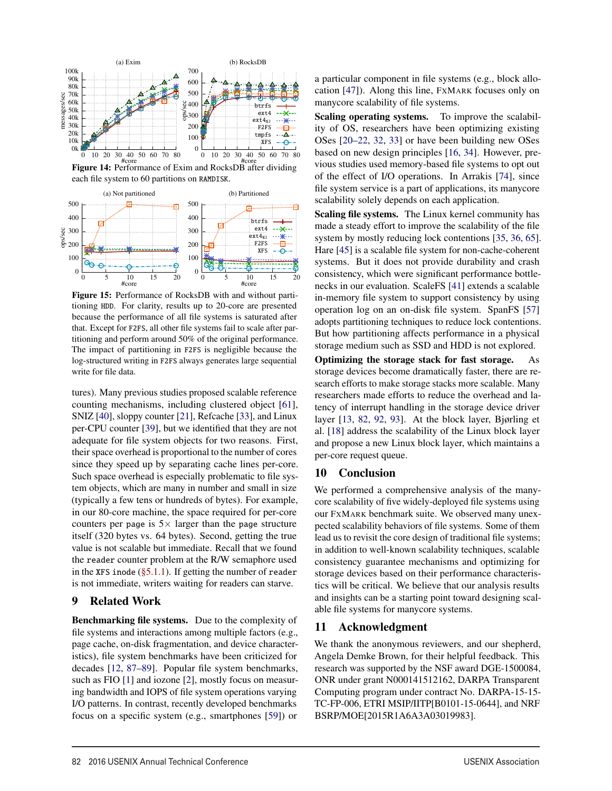

Figure 14: Performance of Exim and RocksDB after dividing each file system to 60 partitions on RAMDISK.



Figure 15: Performance of RocksDB with and without partitioning HDD. For clarity, results up to 20-core are presented because the performance of all file systems is saturated after that. Except for F2FS, all other file systems fail to scale after partitioning and perform around 50% of the original performance. The impact of partitioning in F2FS is negligible because the log-structured writing in F2FS always generates large sequential write for file data.

tures). Many previous studies proposed scalable reference counting mechanisms, including clustered object [61], SNIZ [40], sloppy counter [21], Refcache [33], and Linux per-CPU counter [39], but we identified that they are not adequate for file system objects for two reasons. First, their space overhead is proportional to the number of cores since they speed up by separating cache lines per-core. Such space overhead is especially problematic to file system objects, which are many in number and small in size (typically a few tens or hundreds of bytes). For example, in our 80-core machine, the space required for per-core counters per page is  $5\times$  larger than the page structure itself (320 bytes vs. 64 bytes). Second, getting the true value is not scalable but immediate. Recall that we found the reader counter problem at the R/W semaphore used in the XFS inode  $(\S 5.1.1)$ . If getting the number of reader is not immediate, writers waiting for readers can starve.

# 9 Related Work

Benchmarking file systems. Due to the complexity of file systems and interactions among multiple factors (e.g., page cache, on-disk fragmentation, and device characteristics), file system benchmarks have been criticized for decades [12, 87–89]. Popular file system benchmarks, such as FIO [1] and iozone [2], mostly focus on measuring bandwidth and IOPS of file system operations varying I/O patterns. In contrast, recently developed benchmarks focus on a specific system (e.g., smartphones [59]) or

a particular component in file systems (e.g., block allocation [47]). Along this line, FXMARK focuses only on manycore scalability of file systems.

Scaling operating systems. To improve the scalability of OS, researchers have been optimizing existing OSes [20–22, 32, 33] or have been building new OSes based on new design principles [16, 34]. However, previous studies used memory-based file systems to opt out of the effect of I/O operations. In Arrakis [74], since file system service is a part of applications, its manycore scalability solely depends on each application.

Scaling file systems. The Linux kernel community has made a steady effort to improve the scalability of the file system by mostly reducing lock contentions [35, 36, 65]. Hare [45] is a scalable file system for non-cache-coherent systems. But it does not provide durability and crash consistency, which were significant performance bottlenecks in our evaluation. ScaleFS [41] extends a scalable in-memory file system to support consistency by using operation log on an on-disk file system. SpanFS [57] adopts partitioning techniques to reduce lock contentions. But how partitioning affects performance in a physical storage medium such as SSD and HDD is not explored.

Optimizing the storage stack for fast storage. As storage devices become dramatically faster, there are research efforts to make storage stacks more scalable. Many researchers made efforts to reduce the overhead and latency of interrupt handling in the storage device driver layer [13, 82, 92, 93]. At the block layer, Bjørling et al. [18] address the scalability of the Linux block layer and propose a new Linux block layer, which maintains a per-core request queue.

# 10 Conclusion

We performed a comprehensive analysis of the manycore scalability of five widely-deployed file systems using our FXMARK benchmark suite. We observed many unexpected scalability behaviors of file systems. Some of them lead us to revisit the core design of traditional file systems; in addition to well-known scalability techniques, scalable consistency guarantee mechanisms and optimizing for storage devices based on their performance characteristics will be critical. We believe that our analysis results and insights can be a starting point toward designing scalable file systems for manycore systems.

# 11 Acknowledgment

12

We thank the anonymous reviewers, and our shepherd, Angela Demke Brown, for their helpful feedback. This research was supported by the NSF award DGE-1500084, ONR under grant N000141512162, DARPA Transparent Computing program under contract No. DARPA-15-15- TC-FP-006, ETRI MSIP/IITP[B0101-15-0644], and NRF BSRP/MOE[2015R1A6A3A03019983].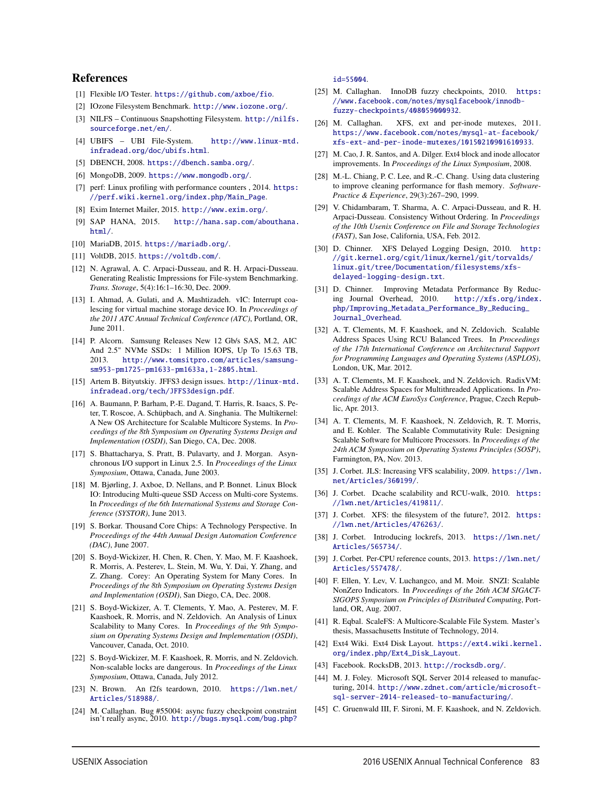#### References

- [1] Flexible I/O Tester. https://github.com/axboe/fio.
- [2] IOzone Filesystem Benchmark. http://www.iozone.org/.
- [3] NILFS Continuous Snapshotting Filesystem. http://nilfs. sourceforge.net/en/.
- [4] UBIFS UBI File-System. http://www.linux-mtd. infradead.org/doc/ubifs.html.
- [5] DBENCH, 2008. https://dbench.samba.org/.
- [6] MongoDB, 2009. https://www.mongodb.org/.
- [7] perf: Linux profiling with performance counters, 2014. https: //perf.wiki.kernel.org/index.php/Main\_Page.
- [8] Exim Internet Mailer, 2015. http://www.exim.org/.
- [9] SAP HANA, 2015. http://hana.sap.com/abouthana. html/.
- [10] MariaDB, 2015. https://mariadb.org/.
- [11] VoltDB, 2015. https://voltdb.com/.
- [12] N. Agrawal, A. C. Arpaci-Dusseau, and R. H. Arpaci-Dusseau. Generating Realistic Impressions for File-system Benchmarking. *Trans. Storage*, 5(4):16:1–16:30, Dec. 2009.
- [13] I. Ahmad, A. Gulati, and A. Mashtizadeh. vIC: Interrupt coalescing for virtual machine storage device IO. In *Proceedings of the 2011 ATC Annual Technical Conference (ATC)*, Portland, OR, June 2011.
- [14] P. Alcorn. Samsung Releases New 12 Gb/s SAS, M.2, AIC And 2.5" NVMe SSDs: 1 Million IOPS, Up To 15.63 TB, 2013. http://www.tomsitpro.com/articles/samsungsm953-pm1725-pm1633-pm1633a,1-2805.html.
- [15] Artem B. Bityutskiy. JFFS3 design issues. http://linux-mtd. infradead.org/tech/JFFS3design.pdf.
- [16] A. Baumann, P. Barham, P.-E. Dagand, T. Harris, R. Isaacs, S. Peter, T. Roscoe, A. Schüpbach, and A. Singhania. The Multikernel: A New OS Architecture for Scalable Multicore Systems. In *Proceedings of the 8th Symposium on Operating Systems Design and Implementation (OSDI)*, San Diego, CA, Dec. 2008.
- [17] S. Bhattacharya, S. Pratt, B. Pulavarty, and J. Morgan. Asynchronous I/O support in Linux 2.5. In *Proceedings of the Linux Symposium*, Ottawa, Canada, June 2003.
- [18] M. Bjørling, J. Axboe, D. Nellans, and P. Bonnet. Linux Block IO: Introducing Multi-queue SSD Access on Multi-core Systems. In *Proceedings of the 6th International Systems and Storage Conference (SYSTOR)*, June 2013.
- [19] S. Borkar. Thousand Core Chips: A Technology Perspective. In *Proceedings of the 44th Annual Design Automation Conference (DAC)*, June 2007.
- [20] S. Boyd-Wickizer, H. Chen, R. Chen, Y. Mao, M. F. Kaashoek, R. Morris, A. Pesterev, L. Stein, M. Wu, Y. Dai, Y. Zhang, and Z. Zhang. Corey: An Operating System for Many Cores. In *Proceedings of the 8th Symposium on Operating Systems Design and Implementation (OSDI)*, San Diego, CA, Dec. 2008.
- [21] S. Boyd-Wickizer, A. T. Clements, Y. Mao, A. Pesterev, M. F. Kaashoek, R. Morris, and N. Zeldovich. An Analysis of Linux Scalability to Many Cores. In *Proceedings of the 9th Symposium on Operating Systems Design and Implementation (OSDI)*, Vancouver, Canada, Oct. 2010.
- [22] S. Boyd-Wickizer, M. F. Kaashoek, R. Morris, and N. Zeldovich. Non-scalable locks are dangerous. In *Proceedings of the Linux Symposium*, Ottawa, Canada, July 2012.
- [23] N. Brown. An f2fs teardown, 2010. https://lwn.net/ Articles/518988/.
- [24] M. Callaghan. Bug #55004: async fuzzy checkpoint constraint isn't really async, 2010. http://bugs.mysql.com/bug.php?

id=55004.

- [25] M. Callaghan. InnoDB fuzzy checkpoints, 2010. https: //www.facebook.com/notes/mysqlfacebook/innodbfuzzy-checkpoints/408059000932.
- [26] M. Callaghan. XFS, ext and per-inode mutexes, 2011. https://www.facebook.com/notes/mysql-at-facebook/ xfs-ext-and-per-inode-mutexes/10150210901610933.
- [27] M. Cao, J. R. Santos, and A. Dilger. Ext4 block and inode allocator improvements. In *Proceedings of the Linux Symposium*, 2008.
- [28] M.-L. Chiang, P. C. Lee, and R.-C. Chang. Using data clustering to improve cleaning performance for flash memory. *Software-Practice & Experience*, 29(3):267–290, 1999.
- [29] V. Chidambaram, T. Sharma, A. C. Arpaci-Dusseau, and R. H. Arpaci-Dusseau. Consistency Without Ordering. In *Proceedings of the 10th Usenix Conference on File and Storage Technologies (FAST)*, San Jose, California, USA, Feb. 2012.
- [30] D. Chinner. XFS Delayed Logging Design, 2010. http: //git.kernel.org/cgit/linux/kernel/git/torvalds/ linux.git/tree/Documentation/filesystems/xfsdelayed-logging-design.txt.
- [31] D. Chinner. Improving Metadata Performance By Reducing Journal Overhead, 2010. http://xfs.org/index. php/Improving\_Metadata\_Performance\_By\_Reducing\_ Journal\_Overhead.
- [32] A. T. Clements, M. F. Kaashoek, and N. Zeldovich. Scalable Address Spaces Using RCU Balanced Trees. In *Proceedings of the 17th International Conference on Architectural Support for Programming Languages and Operating Systems (ASPLOS)*, London, UK, Mar. 2012.
- [33] A. T. Clements, M. F. Kaashoek, and N. Zeldovich. RadixVM: Scalable Address Spaces for Multithreaded Applications. In *Proceedings of the ACM EuroSys Conference*, Prague, Czech Republic, Apr. 2013.
- [34] A. T. Clements, M. F. Kaashoek, N. Zeldovich, R. T. Morris, and E. Kohler. The Scalable Commutativity Rule: Designing Scalable Software for Multicore Processors. In *Proceedings of the 24th ACM Symposium on Operating Systems Principles (SOSP)*, Farmington, PA, Nov. 2013.
- [35] J. Corbet. JLS: Increasing VFS scalability, 2009. https://lwn. net/Articles/360199/.
- [36] J. Corbet. Dcache scalability and RCU-walk, 2010. https: //lwn.net/Articles/419811/.
- [37] J. Corbet. XFS: the filesystem of the future?, 2012. https: //lwn.net/Articles/476263/.
- [38] J. Corbet. Introducing lockrefs, 2013. https://lwn.net/ Articles/565734/.
- [39] J. Corbet. Per-CPU reference counts, 2013. https://lwn.net/ Articles/557478/.
- [40] F. Ellen, Y. Lev, V. Luchangco, and M. Moir. SNZI: Scalable NonZero Indicators. In *Proceedings of the 26th ACM SIGACT-SIGOPS Symposium on Principles of Distributed Computing*, Portland, OR, Aug. 2007.
- [41] R. Eqbal. ScaleFS: A Multicore-Scalable File System. Master's thesis, Massachusetts Institute of Technology, 2014.
- [42] Ext4 Wiki. Ext4 Disk Layout. https://ext4.wiki.kernel. org/index.php/Ext4\_Disk\_Layout.
- [43] Facebook. RocksDB, 2013. http://rocksdb.org/.

13

- [44] M. J. Foley. Microsoft SQL Server 2014 released to manufacturing, 2014. http://www.zdnet.com/article/microsoftsql-server-2014-released-to-manufacturing/.
- [45] C. Gruenwald III, F. Sironi, M. F. Kaashoek, and N. Zeldovich.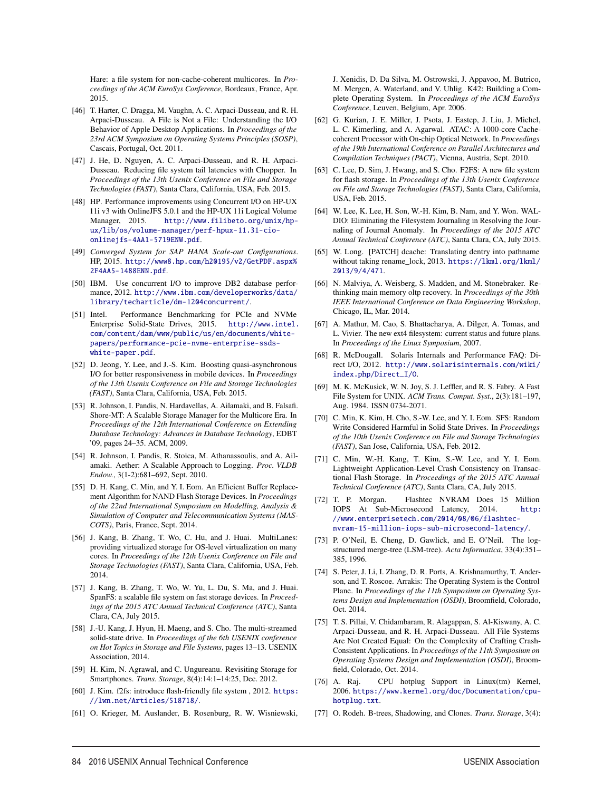Hare: a file system for non-cache-coherent multicores. In *Proceedings of the ACM EuroSys Conference*, Bordeaux, France, Apr. 2015.

- [46] T. Harter, C. Dragga, M. Vaughn, A. C. Arpaci-Dusseau, and R. H. Arpaci-Dusseau. A File is Not a File: Understanding the I/O Behavior of Apple Desktop Applications. In *Proceedings of the 23rd ACM Symposium on Operating Systems Principles (SOSP)*, Cascais, Portugal, Oct. 2011.
- [47] J. He, D. Nguyen, A. C. Arpaci-Dusseau, and R. H. Arpaci-Dusseau. Reducing file system tail latencies with Chopper. In *Proceedings of the 13th Usenix Conference on File and Storage Technologies (FAST)*, Santa Clara, California, USA, Feb. 2015.
- [48] HP. Performance improvements using Concurrent I/O on HP-UX 11i v3 with OnlineJFS 5.0.1 and the HP-UX 11i Logical Volume Manager, 2015. http://www.filibeto.org/unix/hpux/lib/os/volume-manager/perf-hpux-11.31-cioonlinejfs-4AA1-5719ENW.pdf.
- [49] *Converged System for SAP HANA Scale-out Configurations*. HP, 2015. http://www8.hp.com/h20195/v2/GetPDF.aspx% 2F4AA5-1488ENN.pdf.
- [50] IBM. Use concurrent I/O to improve DB2 database performance, 2012. http://www.ibm.com/developerworks/data/ library/techarticle/dm-1204concurrent/.
- [51] Intel. Performance Benchmarking for PCIe and NVMe Enterprise Solid-State Drives, 2015. http://www.intel. com/content/dam/www/public/us/en/documents/whitepapers/performance-pcie-nvme-enterprise-ssdswhite-paper.pdf.
- [52] D. Jeong, Y. Lee, and J.-S. Kim. Boosting quasi-asynchronous I/O for better responsiveness in mobile devices. In *Proceedings of the 13th Usenix Conference on File and Storage Technologies (FAST)*, Santa Clara, California, USA, Feb. 2015.
- [53] R. Johnson, I. Pandis, N. Hardavellas, A. Ailamaki, and B. Falsafi. Shore-MT: A Scalable Storage Manager for the Multicore Era. In *Proceedings of the 12th International Conference on Extending Database Technology: Advances in Database Technology*, EDBT '09, pages 24–35. ACM, 2009.
- [54] R. Johnson, I. Pandis, R. Stoica, M. Athanassoulis, and A. Ailamaki. Aether: A Scalable Approach to Logging. *Proc. VLDB Endow.*, 3(1-2):681–692, Sept. 2010.
- [55] D. H. Kang, C. Min, and Y. I. Eom. An Efficient Buffer Replacement Algorithm for NAND Flash Storage Devices. In *Proceedings of the 22nd International Symposium on Modelling, Analysis & Simulation of Computer and Telecommunication Systems (MAS-COTS)*, Paris, France, Sept. 2014.
- [56] J. Kang, B. Zhang, T. Wo, C. Hu, and J. Huai. MultiLanes: providing virtualized storage for OS-level virtualization on many cores. In *Proceedings of the 12th Usenix Conference on File and Storage Technologies (FAST)*, Santa Clara, California, USA, Feb. 2014.
- [57] J. Kang, B. Zhang, T. Wo, W. Yu, L. Du, S. Ma, and J. Huai. SpanFS: a scalable file system on fast storage devices. In *Proceedings of the 2015 ATC Annual Technical Conference (ATC)*, Santa Clara, CA, July 2015.
- [58] J.-U. Kang, J. Hyun, H. Maeng, and S. Cho. The multi-streamed solid-state drive. In *Proceedings of the 6th USENIX conference on Hot Topics in Storage and File Systems*, pages 13–13. USENIX Association, 2014.
- [59] H. Kim, N. Agrawal, and C. Ungureanu. Revisiting Storage for Smartphones. *Trans. Storage*, 8(4):14:1–14:25, Dec. 2012.
- [60] J. Kim. f2fs: introduce flash-friendly file system, 2012. https: //lwn.net/Articles/518718/.
- [61] O. Krieger, M. Auslander, B. Rosenburg, R. W. Wisniewski,

14

J. Xenidis, D. Da Silva, M. Ostrowski, J. Appavoo, M. Butrico, M. Mergen, A. Waterland, and V. Uhlig. K42: Building a Complete Operating System. In *Proceedings of the ACM EuroSys Conference*, Leuven, Belgium, Apr. 2006.

- [62] G. Kurian, J. E. Miller, J. Psota, J. Eastep, J. Liu, J. Michel, L. C. Kimerling, and A. Agarwal. ATAC: A 1000-core Cachecoherent Processor with On-chip Optical Network. In *Proceedings of the 19th International Conference on Parallel Architectures and Compilation Techniques (PACT)*, Vienna, Austria, Sept. 2010.
- [63] C. Lee, D. Sim, J. Hwang, and S. Cho. F2FS: A new file system for flash storage. In *Proceedings of the 13th Usenix Conference on File and Storage Technologies (FAST)*, Santa Clara, California, USA, Feb. 2015.
- [64] W. Lee, K. Lee, H. Son, W.-H. Kim, B. Nam, and Y. Won. WAL-DIO: Eliminating the Filesystem Journaling in Resolving the Journaling of Journal Anomaly. In *Proceedings of the 2015 ATC Annual Technical Conference (ATC)*, Santa Clara, CA, July 2015.
- [65] W. Long. [PATCH] dcache: Translating dentry into pathname without taking rename\_lock, 2013. https://lkml.org/lkml/ 2013/9/4/471.
- [66] N. Malviya, A. Weisberg, S. Madden, and M. Stonebraker. Rethinking main memory oltp recovery. In *Proceedings of the 30th IEEE International Conference on Data Engineering Workshop*, Chicago, IL, Mar. 2014.
- [67] A. Mathur, M. Cao, S. Bhattacharya, A. Dilger, A. Tomas, and L. Vivier. The new ext4 filesystem: current status and future plans. In *Proceedings of the Linux Symposium*, 2007.
- [68] R. McDougall. Solaris Internals and Performance FAQ: Direct I/O, 2012. http://www.solarisinternals.com/wiki/ index.php/Direct\_I/O.
- [69] M. K. McKusick, W. N. Joy, S. J. Leffler, and R. S. Fabry. A Fast File System for UNIX. *ACM Trans. Comput. Syst.*, 2(3):181–197, Aug. 1984. ISSN 0734-2071.
- [70] C. Min, K. Kim, H. Cho, S.-W. Lee, and Y. I. Eom. SFS: Random Write Considered Harmful in Solid State Drives. In *Proceedings of the 10th Usenix Conference on File and Storage Technologies (FAST)*, San Jose, California, USA, Feb. 2012.
- [71] C. Min, W.-H. Kang, T. Kim, S.-W. Lee, and Y. I. Eom. Lightweight Application-Level Crash Consistency on Transactional Flash Storage. In *Proceedings of the 2015 ATC Annual Technical Conference (ATC)*, Santa Clara, CA, July 2015.
- [72] T. P. Morgan. Flashtec NVRAM Does 15 Million IOPS At Sub-Microsecond Latency, 2014. http: //www.enterprisetech.com/2014/08/06/flashtecnvram-15-million-iops-sub-microsecond-latency/.
- [73] P. O'Neil, E. Cheng, D. Gawlick, and E. O'Neil. The logstructured merge-tree (LSM-tree). *Acta Informatica*, 33(4):351– 385, 1996.
- [74] S. Peter, J. Li, I. Zhang, D. R. Ports, A. Krishnamurthy, T. Anderson, and T. Roscoe. Arrakis: The Operating System is the Control Plane. In *Proceedings of the 11th Symposium on Operating Systems Design and Implementation (OSDI)*, Broomfield, Colorado, Oct. 2014.
- [75] T. S. Pillai, V. Chidambaram, R. Alagappan, S. Al-Kiswany, A. C. Arpaci-Dusseau, and R. H. Arpaci-Dusseau. All File Systems Are Not Created Equal: On the Complexity of Crafting Crash-Consistent Applications. In *Proceedings of the 11th Symposium on Operating Systems Design and Implementation (OSDI)*, Broomfield, Colorado, Oct. 2014.
- [76] A. Raj. CPU hotplug Support in Linux(tm) Kernel, 2006. https://www.kernel.org/doc/Documentation/cpuhotplug.txt.
- [77] O. Rodeh. B-trees, Shadowing, and Clones. *Trans. Storage*, 3(4):